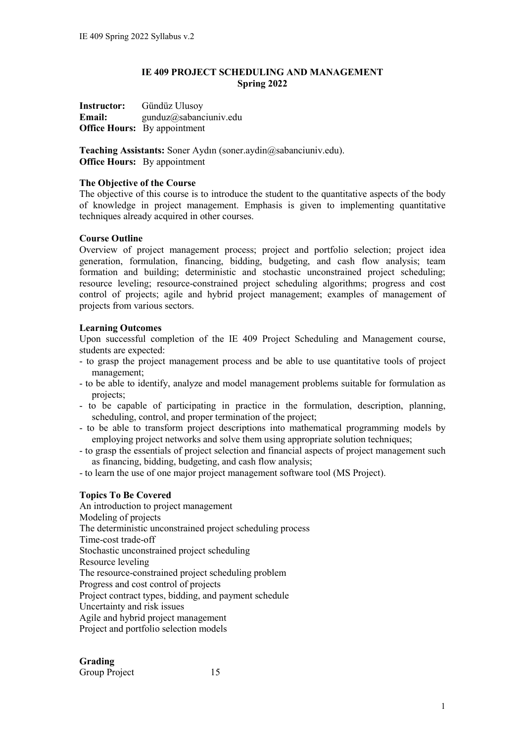## **IE 409 PROJECT SCHEDULING AND MANAGEMENT Spring 2022**

**Instructor:** Gündüz Ulusoy **Email:** gunduz@sabanciuniv.edu **Office Hours:** By appointment

**Teaching Assistants:** Soner Aydın (soner.aydin@sabanciuniv.edu). **Office Hours:** By appointment

## **The Objective of the Course**

The objective of this course is to introduce the student to the quantitative aspects of the body of knowledge in project management. Emphasis is given to implementing quantitative techniques already acquired in other courses.

## **Course Outline**

Overview of project management process; project and portfolio selection; project idea generation, formulation, financing, bidding, budgeting, and cash flow analysis; team formation and building; deterministic and stochastic unconstrained project scheduling; resource leveling; resource-constrained project scheduling algorithms; progress and cost control of projects; agile and hybrid project management; examples of management of projects from various sectors.

## **Learning Outcomes**

Upon successful completion of the IE 409 Project Scheduling and Management course, students are expected:

- to grasp the project management process and be able to use quantitative tools of project management;
- to be able to identify, analyze and model management problems suitable for formulation as projects;
- to be capable of participating in practice in the formulation, description, planning, scheduling, control, and proper termination of the project;
- to be able to transform project descriptions into mathematical programming models by employing project networks and solve them using appropriate solution techniques;
- to grasp the essentials of project selection and financial aspects of project management such as financing, bidding, budgeting, and cash flow analysis;
- to learn the use of one major project management software tool (MS Project).

# **Topics To Be Covered**

An introduction to project management Modeling of projects The deterministic unconstrained project scheduling process Time-cost trade-off Stochastic unconstrained project scheduling Resource leveling The resource-constrained project scheduling problem Progress and cost control of projects Project contract types, bidding, and payment schedule Uncertainty and risk issues Agile and hybrid project management Project and portfolio selection models

# **Grading**

Group Project 15